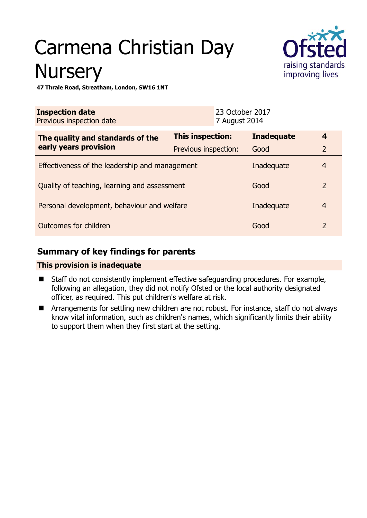# Carmena Christian Day **Nursery**



**47 Thrale Road, Streatham, London, SW16 1NT** 

| <b>Inspection date</b><br>Previous inspection date |                      | 23 October 2017<br>7 August 2014 |                   |                |
|----------------------------------------------------|----------------------|----------------------------------|-------------------|----------------|
| The quality and standards of the                   | This inspection:     |                                  | <b>Inadequate</b> | 4              |
| early years provision                              | Previous inspection: |                                  | Good              | $\overline{2}$ |
| Effectiveness of the leadership and management     |                      |                                  | Inadequate        | 4              |
| Quality of teaching, learning and assessment       |                      |                                  | Good              | $\overline{2}$ |
| Personal development, behaviour and welfare        |                      |                                  | Inadequate        | $\overline{4}$ |
| Outcomes for children<br>Good                      |                      |                                  |                   | $\overline{2}$ |

## **Summary of key findings for parents**

### **This provision is inadequate**

- Staff do not consistently implement effective safeguarding procedures. For example, following an allegation, they did not notify Ofsted or the local authority designated officer, as required. This put children's welfare at risk.
- **E** Arrangements for settling new children are not robust. For instance, staff do not always know vital information, such as children's names, which significantly limits their ability to support them when they first start at the setting.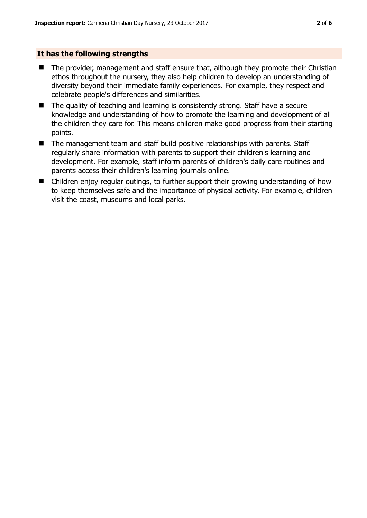#### **It has the following strengths**

- The provider, management and staff ensure that, although they promote their Christian ethos throughout the nursery, they also help children to develop an understanding of diversity beyond their immediate family experiences. For example, they respect and celebrate people's differences and similarities.
- $\blacksquare$  The quality of teaching and learning is consistently strong. Staff have a secure knowledge and understanding of how to promote the learning and development of all the children they care for. This means children make good progress from their starting points.
- The management team and staff build positive relationships with parents. Staff regularly share information with parents to support their children's learning and development. For example, staff inform parents of children's daily care routines and parents access their children's learning journals online.
- Children enjoy regular outings, to further support their growing understanding of how to keep themselves safe and the importance of physical activity. For example, children visit the coast, museums and local parks.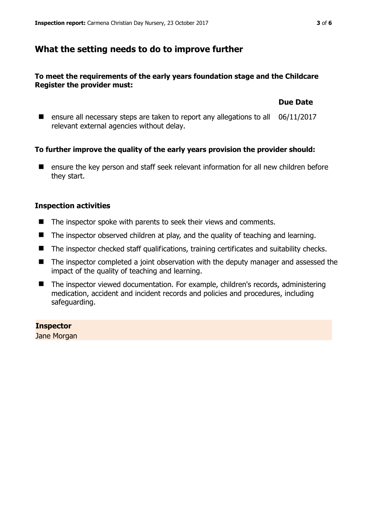## **What the setting needs to do to improve further**

#### **To meet the requirements of the early years foundation stage and the Childcare Register the provider must:**

#### **Due Date**

■ ensure all necessary steps are taken to report any allegations to all 06/11/2017 relevant external agencies without delay.

#### **To further improve the quality of the early years provision the provider should:**

■ ensure the key person and staff seek relevant information for all new children before they start.

#### **Inspection activities**

- The inspector spoke with parents to seek their views and comments.
- The inspector observed children at play, and the quality of teaching and learning.
- The inspector checked staff qualifications, training certificates and suitability checks.
- The inspector completed a joint observation with the deputy manager and assessed the impact of the quality of teaching and learning.
- The inspector viewed documentation. For example, children's records, administering medication, accident and incident records and policies and procedures, including safeguarding.

#### **Inspector**

Jane Morgan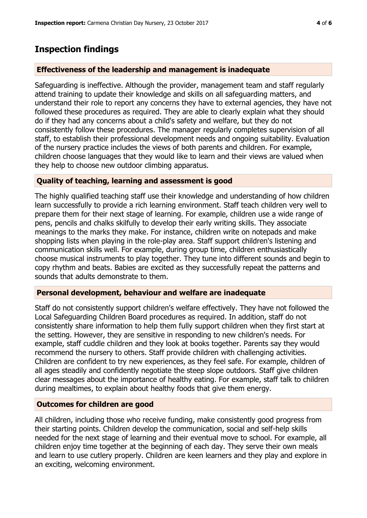## **Inspection findings**

#### **Effectiveness of the leadership and management is inadequate**

Safeguarding is ineffective. Although the provider, management team and staff regularly attend training to update their knowledge and skills on all safeguarding matters, and understand their role to report any concerns they have to external agencies, they have not followed these procedures as required. They are able to clearly explain what they should do if they had any concerns about a child's safety and welfare, but they do not consistently follow these procedures. The manager regularly completes supervision of all staff, to establish their professional development needs and ongoing suitability. Evaluation of the nursery practice includes the views of both parents and children. For example, children choose languages that they would like to learn and their views are valued when they help to choose new outdoor climbing apparatus.

#### **Quality of teaching, learning and assessment is good**

The highly qualified teaching staff use their knowledge and understanding of how children learn successfully to provide a rich learning environment. Staff teach children very well to prepare them for their next stage of learning. For example, children use a wide range of pens, pencils and chalks skilfully to develop their early writing skills. They associate meanings to the marks they make. For instance, children write on notepads and make shopping lists when playing in the role-play area. Staff support children's listening and communication skills well. For example, during group time, children enthusiastically choose musical instruments to play together. They tune into different sounds and begin to copy rhythm and beats. Babies are excited as they successfully repeat the patterns and sounds that adults demonstrate to them.

#### **Personal development, behaviour and welfare are inadequate**

Staff do not consistently support children's welfare effectively. They have not followed the Local Safeguarding Children Board procedures as required. In addition, staff do not consistently share information to help them fully support children when they first start at the setting. However, they are sensitive in responding to new children's needs. For example, staff cuddle children and they look at books together. Parents say they would recommend the nursery to others. Staff provide children with challenging activities. Children are confident to try new experiences, as they feel safe. For example, children of all ages steadily and confidently negotiate the steep slope outdoors. Staff give children clear messages about the importance of healthy eating. For example, staff talk to children during mealtimes, to explain about healthy foods that give them energy.

#### **Outcomes for children are good**

All children, including those who receive funding, make consistently good progress from their starting points. Children develop the communication, social and self-help skills needed for the next stage of learning and their eventual move to school. For example, all children enjoy time together at the beginning of each day. They serve their own meals and learn to use cutlery properly. Children are keen learners and they play and explore in an exciting, welcoming environment.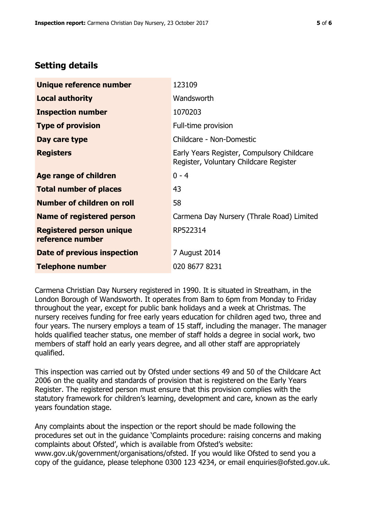# **Setting details**

| Unique reference number                             | 123109                                                                               |  |  |
|-----------------------------------------------------|--------------------------------------------------------------------------------------|--|--|
| <b>Local authority</b>                              | Wandsworth                                                                           |  |  |
| <b>Inspection number</b>                            | 1070203                                                                              |  |  |
| <b>Type of provision</b>                            | Full-time provision                                                                  |  |  |
| Day care type                                       | Childcare - Non-Domestic                                                             |  |  |
| <b>Registers</b>                                    | Early Years Register, Compulsory Childcare<br>Register, Voluntary Childcare Register |  |  |
| Age range of children                               | $0 - 4$                                                                              |  |  |
| <b>Total number of places</b>                       | 43                                                                                   |  |  |
| Number of children on roll                          | 58                                                                                   |  |  |
| Name of registered person                           | Carmena Day Nursery (Thrale Road) Limited                                            |  |  |
| <b>Registered person unique</b><br>reference number | RP522314                                                                             |  |  |
| <b>Date of previous inspection</b>                  | 7 August 2014                                                                        |  |  |
| <b>Telephone number</b>                             | 020 8677 8231                                                                        |  |  |

Carmena Christian Day Nursery registered in 1990. It is situated in Streatham, in the London Borough of Wandsworth. It operates from 8am to 6pm from Monday to Friday throughout the year, except for public bank holidays and a week at Christmas. The nursery receives funding for free early years education for children aged two, three and four years. The nursery employs a team of 15 staff, including the manager. The manager holds qualified teacher status, one member of staff holds a degree in social work, two members of staff hold an early years degree, and all other staff are appropriately qualified.

This inspection was carried out by Ofsted under sections 49 and 50 of the Childcare Act 2006 on the quality and standards of provision that is registered on the Early Years Register. The registered person must ensure that this provision complies with the statutory framework for children's learning, development and care, known as the early years foundation stage.

Any complaints about the inspection or the report should be made following the procedures set out in the guidance 'Complaints procedure: raising concerns and making complaints about Ofsted', which is available from Ofsted's website: www.gov.uk/government/organisations/ofsted. If you would like Ofsted to send you a copy of the guidance, please telephone 0300 123 4234, or email enquiries@ofsted.gov.uk.